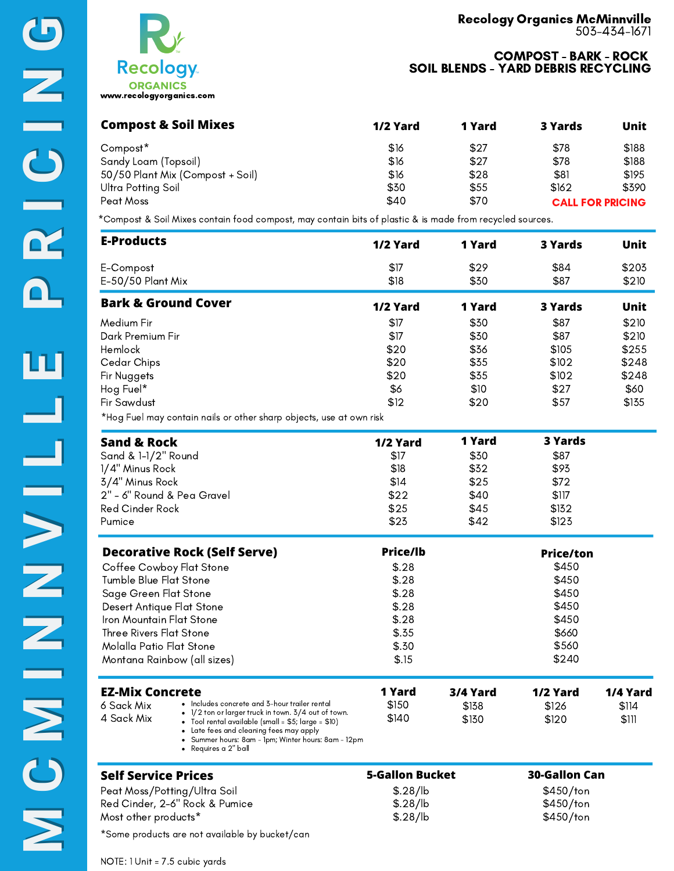

| <b>Recology</b>                             |
|---------------------------------------------|
| <b>ORGANICS</b><br>www.recologyorganics.com |

| <b>Compost &amp; Soil Mixes</b>  | 1/2 Yard | 1 Yard | 3 Yards                 | Unit  |
|----------------------------------|----------|--------|-------------------------|-------|
| Compost*                         | \$16     | \$27   | \$78                    | \$188 |
| Sandy Loam (Topsoil)             | \$16     | \$27   | \$78                    | \$188 |
| 50/50 Plant Mix (Compost + Soil) | \$16     | \$28   | \$81                    | \$195 |
| Ultra Potting Soil               | \$30     | \$55   | \$162                   | \$390 |
| Peat Moss                        | \$40     | \$70   | <b>CALL FOR PRICING</b> |       |

\*Compost & Soil Mixes contain food compost, may contain bits of plastic & is made from recycled sources.

| <b>E-Products</b>                                                   | 1/2 Yard     | 1 Yard       | 3 Yards      | Unit           |
|---------------------------------------------------------------------|--------------|--------------|--------------|----------------|
| E-Compost<br>E-50/50 Plant Mix                                      | \$17<br>\$18 | \$29<br>\$30 | \$84<br>\$87 | \$203<br>\$210 |
| <b>Bark &amp; Ground Cover</b>                                      | 1/2 Yard     | 1 Yard       | 3 Yards      | Unit           |
| Medium Fir                                                          | \$17         | \$30         | \$87         | \$210          |
| Dark Premium Fir                                                    | \$17         | \$30         | \$87         | \$210          |
| Hemlock                                                             | \$20         | \$36         | \$105        | \$255          |
| Cedar Chips                                                         | \$20         | \$35         | \$102        | \$248          |
| Fir Nuggets                                                         | \$20         | \$35         | \$102        | \$248          |
| Hog Fuel*                                                           | \$6          | \$10         | \$27         | \$60           |
| <b>Fir Sawdust</b>                                                  | \$12         | \$20         | \$57         | \$135          |
| *Hog Fuel may contain nails or other sharp objects, use at own risk |              |              |              |                |

| <b>Sand &amp; Rock</b>                                      | 1/2 Yard        | 1 Yard   | 3 Yards          |          |
|-------------------------------------------------------------|-----------------|----------|------------------|----------|
| Sand & 1-1/2" Round                                         | \$17            | \$30     | \$87             |          |
| 1/4" Minus Rock                                             | \$18            | \$32     | \$93             |          |
| 3/4" Minus Rock                                             | \$14            | \$25     | \$72             |          |
| 2" - 6" Round & Pea Gravel                                  | \$22            | \$40     | \$117            |          |
| Red Cinder Rock                                             | \$25            | \$45     | \$132            |          |
| Pumice                                                      | \$23            | \$42     | \$123            |          |
| <b>Decorative Rock (Self Serve)</b>                         | <b>Price/lb</b> |          | <b>Price/ton</b> |          |
| Coffee Cowboy Flat Stone                                    | \$.28           |          | \$450            |          |
| Tumble Blue Flat Stone                                      | \$.28           |          | \$450            |          |
| Sage Green Flat Stone                                       | \$.28           |          | \$450            |          |
| Desert Antique Flat Stone                                   | \$.28           |          | \$450            |          |
| Iron Mountain Flat Stone                                    | \$.28           |          | \$450            |          |
| Three Rivers Flat Stone                                     | \$.35           |          | \$660            |          |
| Molalla Patio Flat Stone                                    | \$.30           |          | \$560            |          |
| Montana Rainbow (all sizes)                                 | \$.15           |          | \$240            |          |
| <b>EZ-Mix Concrete</b>                                      | 1 Yard          | 3/4 Yard | 1/2 Yard         | 1/4 Yard |
| • Includes concrete and 3-hour trailer rental<br>6 Sack Mix | \$150           | \$138    | \$126            | \$114    |

| LL IVIIA WUIW CLC |                                                                                                                    | . .u.u | <i><b>PISTE</b></i> | <i>114</i> 1914 | 114 I.A |
|-------------------|--------------------------------------------------------------------------------------------------------------------|--------|---------------------|-----------------|---------|
| 6 Sack Mix        | $\cdot$ Includes concrete and 3-hour trailer rental<br>$\bullet$ 1/2 ton or larger truck in town. 3/4 out of town. | \$150  | \$138               | \$126           | \$114   |
| 4 Sack Mix        | • Tool rental available (small = $$5;$ large = $$10)$ )                                                            | \$140  | \$130               | \$120           | \$111   |

Late fees and cleaning fees may apply

Summer hours: 8am - 1pm; Winter hours: 8am - 12pm

Requires a 2" ball

| <b>5-Gallon Bucket</b> | <b>30-Gallon Can</b> |
|------------------------|----------------------|
| \$.28/lb               | $$450$ /ton          |
| \$.28/lb               | $$450$ /ton          |
| \$.28/lb               | \$450/ton            |
|                        |                      |

\*Some products are not available by bucket/can

NOTE: 1 Unit = 7.5 cubic yards